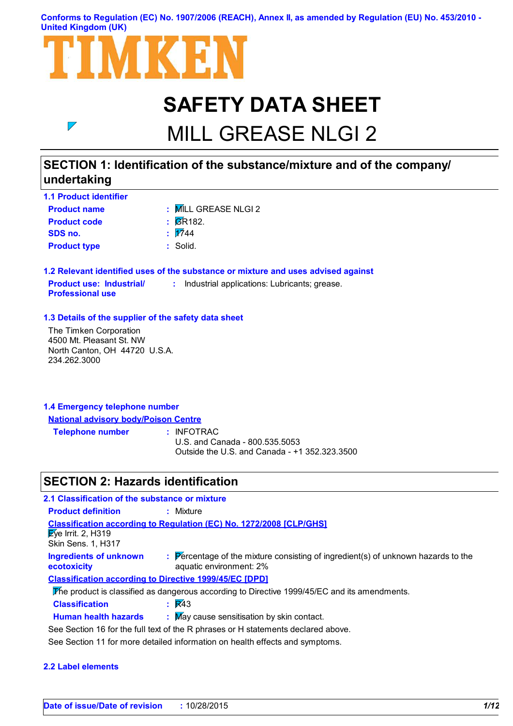#### **Conforms to Regulation (EC) No. 1907/2006 (REACH), Annex II, as amended by Regulation (EU) No. 453/2010 - United Kingdom (UK)**



# **SAFETY DATA SHEET**

# MILL GREASE NLGI 2

### **SECTION 1: Identification of the substance/mixture and of the company/ undertaking**

| <b>1.1 Product identifier</b> |                               |
|-------------------------------|-------------------------------|
| <b>Product name</b>           | : MILL GREASE NLGI 2          |
| <b>Product code</b>           | $\overline{\mathsf{g}}$ R182. |
| SDS no.                       | $\frac{1}{2744}$              |
| <b>Product type</b>           | : Solid.                      |

**1.2 Relevant identified uses of the substance or mixture and uses advised against Product use: Industrial/ Professional use :** Industrial applications: Lubricants; grease.

#### **1.3 Details of the supplier of the safety data sheet**

The Timken Corporation 4500 Mt. Pleasant St. NW North Canton, OH 44720 U.S.A. 234.262.3000

 $\overline{\phantom{a}}$ 

### **1.4 Emergency telephone number National advisory body/Poison Centre**

**Telephone number :**

: INFOTRAC

U.S. and Canada - 800.535.5053 Outside the U.S. and Canada - +1 352.323.3500

### **SECTION 2: Hazards identification**

| 2.1 Classification of the substance or mixture                               |                                                                                                              |  |
|------------------------------------------------------------------------------|--------------------------------------------------------------------------------------------------------------|--|
| <b>Product definition</b>                                                    | : Mixture                                                                                                    |  |
| $\sqrt{2}$ ye Irrit. 2, H319<br>Skin Sens. 1, H317                           | <b>Classification according to Regulation (EC) No. 1272/2008 [CLP/GHS]</b>                                   |  |
| <b>Ingredients of unknown</b><br>ecotoxicity                                 | : Percentage of the mixture consisting of ingredient(s) of unknown hazards to the<br>aquatic environment: 2% |  |
| <b>Classification according to Directive 1999/45/EC [DPD]</b>                |                                                                                                              |  |
|                                                                              | The product is classified as dangerous according to Directive 1999/45/EC and its amendments.                 |  |
| <b>Classification</b>                                                        | $\mathsf{R}$ $\mathsf{R}$ 43                                                                                 |  |
| <b>Human health hazards</b>                                                  | : May cause sensitisation by skin contact.                                                                   |  |
|                                                                              | See Section 16 for the full text of the R phrases or H statements declared above.                            |  |
| See Section 11 for more detailed information on health effects and symptoms. |                                                                                                              |  |

#### **2.2 Label elements**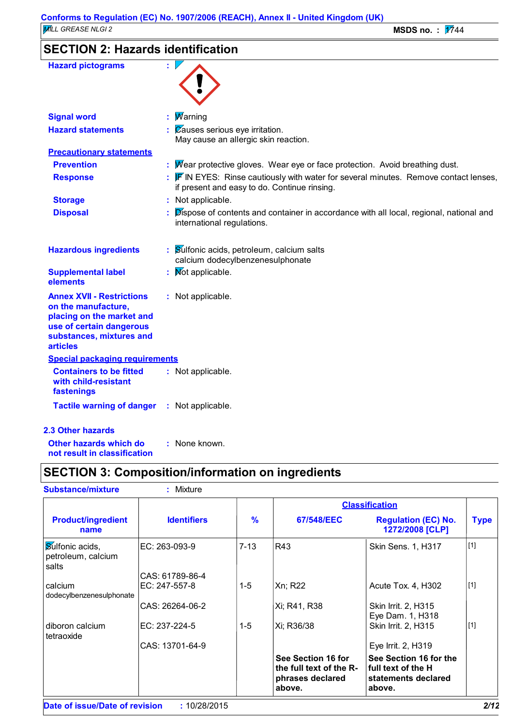### **SECTION 2: Hazards identification**

| <b>Hazard pictograms</b>                                                                                                                                        |                                                                                                                                              |
|-----------------------------------------------------------------------------------------------------------------------------------------------------------------|----------------------------------------------------------------------------------------------------------------------------------------------|
| <b>Signal word</b>                                                                                                                                              | <b>Marning</b>                                                                                                                               |
| <b>Hazard statements</b>                                                                                                                                        | $\therefore$ Zauses serious eye irritation.<br>May cause an allergic skin reaction.                                                          |
| <b>Precautionary statements</b>                                                                                                                                 |                                                                                                                                              |
| <b>Prevention</b>                                                                                                                                               | : Mear protective gloves. Wear eye or face protection. Avoid breathing dust.                                                                 |
| <b>Response</b>                                                                                                                                                 | $\mathbb F$ IN EYES: Rinse cautiously with water for several minutes. Remove contact lenses,<br>if present and easy to do. Continue rinsing. |
| <b>Storage</b>                                                                                                                                                  | : Not applicable.                                                                                                                            |
| <b>Disposal</b>                                                                                                                                                 | Dispose of contents and container in accordance with all local, regional, national and<br>international regulations.                         |
| <b>Hazardous ingredients</b>                                                                                                                                    | : Sulfonic acids, petroleum, calcium salts<br>calcium dodecylbenzenesulphonate                                                               |
| <b>Supplemental label</b><br>elements                                                                                                                           | : Mot applicable.                                                                                                                            |
| <b>Annex XVII - Restrictions</b><br>on the manufacture,<br>placing on the market and<br>use of certain dangerous<br>substances, mixtures and<br><b>articles</b> | : Not applicable.                                                                                                                            |
| <b>Special packaging requirements</b>                                                                                                                           |                                                                                                                                              |
| <b>Containers to be fitted</b><br>with child-resistant<br>fastenings                                                                                            | : Not applicable.                                                                                                                            |
| <b>Tactile warning of danger</b>                                                                                                                                | : Not applicable.                                                                                                                            |
| 2.3 Other hazards                                                                                                                                               |                                                                                                                                              |
| Other hazards which do                                                                                                                                          | : None known.                                                                                                                                |

**not result in classification**

### **SECTION 3: Composition/information on ingredients**

| <b>Substance/mixture</b>                       | : Mixture          |               |                                                                             |                                                                               |             |
|------------------------------------------------|--------------------|---------------|-----------------------------------------------------------------------------|-------------------------------------------------------------------------------|-------------|
|                                                |                    |               |                                                                             | <b>Classification</b>                                                         |             |
| <b>Product/ingredient</b><br>name              | <b>Identifiers</b> | $\frac{9}{6}$ | 67/548/EEC                                                                  | <b>Regulation (EC) No.</b><br>1272/2008 [CLP]                                 | <b>Type</b> |
| Sulfonic acids,<br>petroleum, calcium<br>salts | EC: 263-093-9      | $7 - 13$      | R43                                                                         | Skin Sens. 1, H317                                                            | $[1]$       |
|                                                | CAS: 61789-86-4    |               |                                                                             |                                                                               |             |
| calcium<br>dodecylbenzenesulphonate            | EC: 247-557-8      | $1-5$         | Xn; R22                                                                     | Acute Tox. 4, H302                                                            | $[1]$       |
|                                                | CAS: 26264-06-2    |               | Xi; R41, R38                                                                | Skin Irrit. 2, H315<br>Eye Dam. 1, H318                                       |             |
| diboron calcium<br>tetraoxide                  | EC: 237-224-5      | $1-5$         | Xi; R36/38                                                                  | Skin Irrit. 2, H315                                                           | $[1]$       |
|                                                | CAS: 13701-64-9    |               |                                                                             | Eye Irrit. 2, H319                                                            |             |
|                                                |                    |               | See Section 16 for<br>the full text of the R-<br>phrases declared<br>above. | See Section 16 for the<br>full text of the H<br>statements declared<br>above. |             |
| Date of issue/Date of revision                 | : 10/28/2015       |               |                                                                             |                                                                               | 2/12        |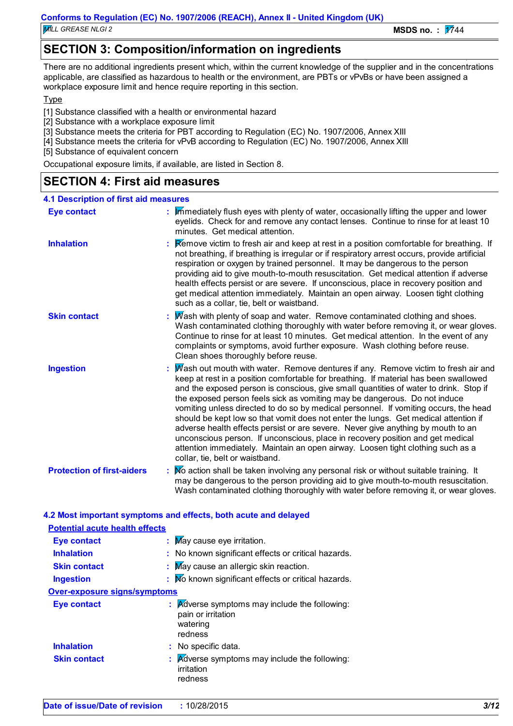### **SECTION 3: Composition/information on ingredients**

There are no additional ingredients present which, within the current knowledge of the supplier and in the concentrations applicable, are classified as hazardous to health or the environment, are PBTs or vPvBs or have been assigned a workplace exposure limit and hence require reporting in this section.

Type

- [1] Substance classified with a health or environmental hazard
- [2] Substance with a workplace exposure limit
- [3] Substance meets the criteria for PBT according to Regulation (EC) No. 1907/2006, Annex XIII
- [4] Substance meets the criteria for vPvB according to Regulation (EC) No. 1907/2006, Annex XIII

[5] Substance of equivalent concern

Occupational exposure limits, if available, are listed in Section 8.

### **SECTION 4: First aid measures**

| <b>4.1 Description of first aid measures</b> |                                                                                                                                                                                                                                                                                                                                                                                                                                                                                                                                                                                                                                                                                                                                                                                                                            |
|----------------------------------------------|----------------------------------------------------------------------------------------------------------------------------------------------------------------------------------------------------------------------------------------------------------------------------------------------------------------------------------------------------------------------------------------------------------------------------------------------------------------------------------------------------------------------------------------------------------------------------------------------------------------------------------------------------------------------------------------------------------------------------------------------------------------------------------------------------------------------------|
| <b>Eye contact</b>                           | : Immediately flush eyes with plenty of water, occasionally lifting the upper and lower<br>eyelids. Check for and remove any contact lenses. Continue to rinse for at least 10<br>minutes. Get medical attention.                                                                                                                                                                                                                                                                                                                                                                                                                                                                                                                                                                                                          |
| <b>Inhalation</b>                            | <b>Remove victim to fresh air and keep at rest in a position comfortable for breathing.</b> If<br>not breathing, if breathing is irregular or if respiratory arrest occurs, provide artificial<br>respiration or oxygen by trained personnel. It may be dangerous to the person<br>providing aid to give mouth-to-mouth resuscitation. Get medical attention if adverse<br>health effects persist or are severe. If unconscious, place in recovery position and<br>get medical attention immediately. Maintain an open airway. Loosen tight clothing<br>such as a collar, tie, belt or waistband.                                                                                                                                                                                                                          |
| <b>Skin contact</b>                          | : Mash with plenty of soap and water. Remove contaminated clothing and shoes.<br>Wash contaminated clothing thoroughly with water before removing it, or wear gloves.<br>Continue to rinse for at least 10 minutes. Get medical attention. In the event of any<br>complaints or symptoms, avoid further exposure. Wash clothing before reuse.<br>Clean shoes thoroughly before reuse.                                                                                                                                                                                                                                                                                                                                                                                                                                      |
| <b>Ingestion</b>                             | Mash out mouth with water. Remove dentures if any. Remove victim to fresh air and<br>keep at rest in a position comfortable for breathing. If material has been swallowed<br>and the exposed person is conscious, give small quantities of water to drink. Stop if<br>the exposed person feels sick as vomiting may be dangerous. Do not induce<br>vomiting unless directed to do so by medical personnel. If vomiting occurs, the head<br>should be kept low so that vomit does not enter the lungs. Get medical attention if<br>adverse health effects persist or are severe. Never give anything by mouth to an<br>unconscious person. If unconscious, place in recovery position and get medical<br>attention immediately. Maintain an open airway. Loosen tight clothing such as a<br>collar, tie, belt or waistband. |
| <b>Protection of first-aiders</b>            | : Mo action shall be taken involving any personal risk or without suitable training. It<br>may be dangerous to the person providing aid to give mouth-to-mouth resuscitation.<br>Wash contaminated clothing thoroughly with water before removing it, or wear gloves.                                                                                                                                                                                                                                                                                                                                                                                                                                                                                                                                                      |

| <b>Potential acute health effects</b> |                                                                                                       |
|---------------------------------------|-------------------------------------------------------------------------------------------------------|
| <b>Eye contact</b>                    | : May cause eye irritation.                                                                           |
| <b>Inhalation</b>                     | : No known significant effects or critical hazards.                                                   |
| <b>Skin contact</b>                   | : May cause an allergic skin reaction.                                                                |
| <b>Ingestion</b>                      | : No known significant effects or critical hazards.                                                   |
| <b>Over-exposure signs/symptoms</b>   |                                                                                                       |
| <b>Eye contact</b>                    | $\mathbf{A}$ Adverse symptoms may include the following:<br>pain or irritation<br>watering<br>redness |
| <b>Inhalation</b>                     | : No specific data.                                                                                   |
| <b>Skin contact</b>                   | $\mathbf{A}$ Adverse symptoms may include the following:<br>irritation<br>redness                     |

**4.2 Most important symptoms and effects, both acute and delayed**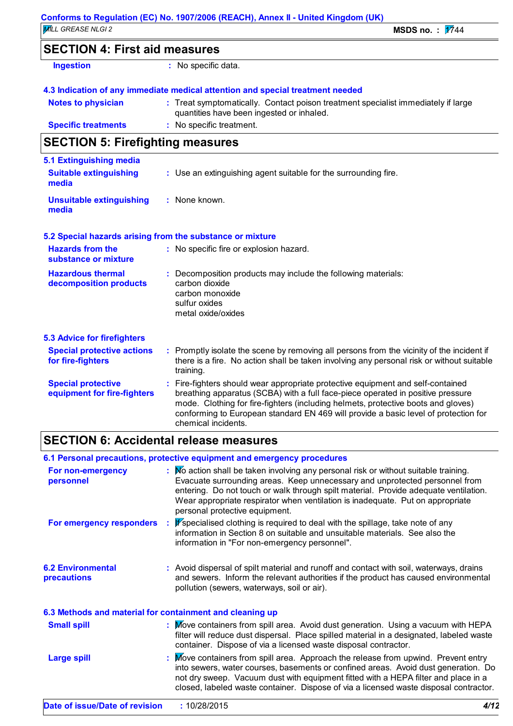### **SECTION 4: First aid measures**

| Ingestion |  |  |  |
|-----------|--|--|--|
|           |  |  |  |

**:** No specific data.

#### **4.3 Indication of any immediate medical attention and special treatment needed**

| <b>Notes to physician</b>  | : Treat symptomatically. Contact poison treatment specialist immediately if large |
|----------------------------|-----------------------------------------------------------------------------------|
|                            | quantities have been ingested or inhaled.                                         |
| <b>Specific treatments</b> | : No specific treatment.                                                          |

### **SECTION 5: Firefighting measures**

| 5.1 Extinguishing media                                   |                                                                                                                                                                                                                                                                                                                                                                     |
|-----------------------------------------------------------|---------------------------------------------------------------------------------------------------------------------------------------------------------------------------------------------------------------------------------------------------------------------------------------------------------------------------------------------------------------------|
| <b>Suitable extinguishing</b><br>media                    | : Use an extinguishing agent suitable for the surrounding fire.                                                                                                                                                                                                                                                                                                     |
| <b>Unsuitable extinguishing</b><br>media                  | : None known.                                                                                                                                                                                                                                                                                                                                                       |
| 5.2 Special hazards arising from the substance or mixture |                                                                                                                                                                                                                                                                                                                                                                     |
| <b>Hazards from the</b><br>substance or mixture           | : No specific fire or explosion hazard.                                                                                                                                                                                                                                                                                                                             |
| <b>Hazardous thermal</b><br>decomposition products        | : Decomposition products may include the following materials:<br>carbon dioxide<br>carbon monoxide<br>sulfur oxides<br>metal oxide/oxides                                                                                                                                                                                                                           |
| <b>5.3 Advice for firefighters</b>                        |                                                                                                                                                                                                                                                                                                                                                                     |
| <b>Special protective actions</b><br>for fire-fighters    | : Promptly isolate the scene by removing all persons from the vicinity of the incident if<br>there is a fire. No action shall be taken involving any personal risk or without suitable<br>training.                                                                                                                                                                 |
| <b>Special protective</b><br>equipment for fire-fighters  | Fire-fighters should wear appropriate protective equipment and self-contained<br>breathing apparatus (SCBA) with a full face-piece operated in positive pressure<br>mode. Clothing for fire-fighters (including helmets, protective boots and gloves)<br>conforming to European standard EN 469 will provide a basic level of protection for<br>chemical incidents. |

### **SECTION 6: Accidental release measures**

| 6.1 Personal precautions, protective equipment and emergency procedures                                                                                                                                                                                                                                                                                                         |
|---------------------------------------------------------------------------------------------------------------------------------------------------------------------------------------------------------------------------------------------------------------------------------------------------------------------------------------------------------------------------------|
| : No action shall be taken involving any personal risk or without suitable training.<br>Evacuate surrounding areas. Keep unnecessary and unprotected personnel from<br>entering. Do not touch or walk through spilt material. Provide adequate ventilation.<br>Wear appropriate respirator when ventilation is inadequate. Put on appropriate<br>personal protective equipment. |
| : If specialised clothing is required to deal with the spillage, take note of any<br>information in Section 8 on suitable and unsuitable materials. See also the<br>information in "For non-emergency personnel".                                                                                                                                                               |
| : Avoid dispersal of spilt material and runoff and contact with soil, waterways, drains<br>and sewers. Inform the relevant authorities if the product has caused environmental<br>pollution (sewers, waterways, soil or air).                                                                                                                                                   |
| 6.3 Methods and material for containment and cleaning up                                                                                                                                                                                                                                                                                                                        |
| : Move containers from spill area. Avoid dust generation. Using a vacuum with HEPA<br>filter will reduce dust dispersal. Place spilled material in a designated, labeled waste<br>container. Dispose of via a licensed waste disposal contractor.                                                                                                                               |
| : Move containers from spill area. Approach the release from upwind. Prevent entry<br>into sewers, water courses, basements or confined areas. Avoid dust generation. Do<br>not dry sweep. Vacuum dust with equipment fitted with a HEPA filter and place in a<br>closed, labeled waste container. Dispose of via a licensed waste disposal contractor.                         |
|                                                                                                                                                                                                                                                                                                                                                                                 |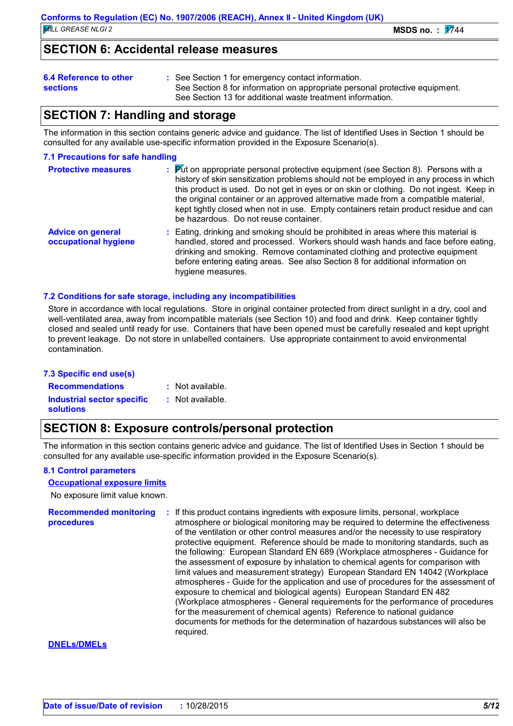### **SECTION 6: Accidental release measures**

- See Section 1 for emergency contact information. **:**
- **sections**
- See Section 8 for information on appropriate personal protective equipment. See Section 13 for additional waste treatment information.

### **SECTION 7: Handling and storage**

The information in this section contains generic advice and guidance. The list of Identified Uses in Section 1 should be consulted for any available use-specific information provided in the Exposure Scenario(s).

#### **7.1 Precautions for safe handling**

| <b>Protective measures</b>                       | $\frac{1}{2}$ $\frac{1}{2}$ Put on appropriate personal protective equipment (see Section 8). Persons with a<br>history of skin sensitization problems should not be employed in any process in which<br>this product is used. Do not get in eyes or on skin or clothing. Do not ingest. Keep in<br>the original container or an approved alternative made from a compatible material,<br>kept tightly closed when not in use. Empty containers retain product residue and can<br>be hazardous. Do not reuse container. |
|--------------------------------------------------|-------------------------------------------------------------------------------------------------------------------------------------------------------------------------------------------------------------------------------------------------------------------------------------------------------------------------------------------------------------------------------------------------------------------------------------------------------------------------------------------------------------------------|
| <b>Advice on general</b><br>occupational hygiene | : Eating, drinking and smoking should be prohibited in areas where this material is<br>handled, stored and processed. Workers should wash hands and face before eating,<br>drinking and smoking. Remove contaminated clothing and protective equipment<br>before entering eating areas. See also Section 8 for additional information on<br>hygiene measures.                                                                                                                                                           |

#### **7.2 Conditions for safe storage, including any incompatibilities**

Store in accordance with local regulations. Store in original container protected from direct sunlight in a dry, cool and well-ventilated area, away from incompatible materials (see Section 10) and food and drink. Keep container tightly closed and sealed until ready for use. Containers that have been opened must be carefully resealed and kept upright to prevent leakage. Do not store in unlabelled containers. Use appropriate containment to avoid environmental contamination.

#### **7.3 Specific end use(s)**

**Recommendations : Industrial sector specific : solutions**

- : Not available.
- : Not available.

### **SECTION 8: Exposure controls/personal protection**

The information in this section contains generic advice and guidance. The list of Identified Uses in Section 1 should be consulted for any available use-specific information provided in the Exposure Scenario(s).

#### **8.1 Control parameters**

#### **Occupational exposure limits**

No exposure limit value known.

**Recommended monitoring procedures :** If this product contains ingredients with exposure limits, personal, workplace atmosphere or biological monitoring may be required to determine the effectiveness of the ventilation or other control measures and/or the necessity to use respiratory protective equipment. Reference should be made to monitoring standards, such as the following: European Standard EN 689 (Workplace atmospheres - Guidance for the assessment of exposure by inhalation to chemical agents for comparison with limit values and measurement strategy) European Standard EN 14042 (Workplace atmospheres - Guide for the application and use of procedures for the assessment of exposure to chemical and biological agents) European Standard EN 482 (Workplace atmospheres - General requirements for the performance of procedures for the measurement of chemical agents) Reference to national guidance documents for methods for the determination of hazardous substances will also be required.

#### **DNELs/DMELs**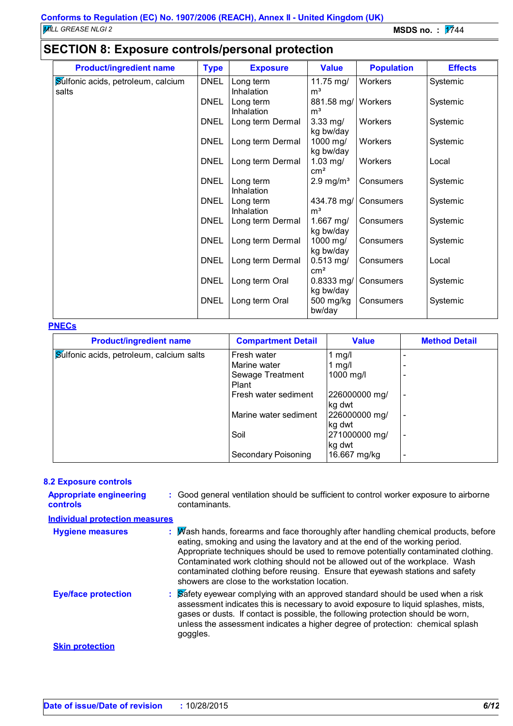## **SECTION 8: Exposure controls/personal protection**

| <b>Product/ingredient name</b>     | <b>Type</b> | <b>Exposure</b>         | <b>Value</b>                 | <b>Population</b> | <b>Effects</b> |
|------------------------------------|-------------|-------------------------|------------------------------|-------------------|----------------|
| Sulfonic acids, petroleum, calcium | <b>DNEL</b> | Long term               | 11.75 mg/                    | Workers           | Systemic       |
| salts                              | <b>DNEL</b> | Inhalation              | m <sup>3</sup>               |                   |                |
|                                    |             | Long term<br>Inhalation | 881.58 mg/<br>m <sup>3</sup> | Workers           | Systemic       |
|                                    | <b>DNEL</b> | Long term Dermal        | $3.33$ mg/                   | Workers           | Systemic       |
|                                    |             |                         | kg bw/day                    |                   |                |
|                                    | <b>DNEL</b> | Long term Dermal        | 1000 mg/<br>kg bw/day        | Workers           | Systemic       |
|                                    | <b>DNEL</b> | Long term Dermal        | $1.03$ mg/                   | Workers           | Local          |
|                                    |             |                         | $\text{cm}^2$                |                   |                |
|                                    | <b>DNEL</b> | Long term<br>Inhalation | $2.9 \text{ mg/m}^3$         | Consumers         | Systemic       |
|                                    | <b>DNEL</b> | Long term               | 434.78 mg/                   | Consumers         | Systemic       |
|                                    |             | Inhalation              | m <sup>3</sup>               |                   |                |
|                                    | <b>DNEL</b> | Long term Dermal        | 1.667 mg/<br>kg bw/day       | Consumers         | Systemic       |
|                                    | <b>DNEL</b> | Long term Dermal        | 1000 mg/                     | Consumers         | Systemic       |
|                                    |             |                         | kg bw/day                    |                   |                |
|                                    | <b>DNEL</b> | Long term Dermal        | $0.513$ mg/<br>$\text{cm}^2$ | Consumers         | Local          |
|                                    | <b>DNEL</b> | Long term Oral          | $0.8333$ mg/                 | Consumers         | Systemic       |
|                                    |             |                         | kg bw/day                    |                   |                |
|                                    | <b>DNEL</b> | Long term Oral          | 500 mg/kg                    | Consumers         | Systemic       |
|                                    |             |                         | bw/day                       |                   |                |

#### **PNECs**

| <b>Product/ingredient name</b>                  | <b>Compartment Detail</b> | <b>Value</b>  | <b>Method Detail</b>     |
|-------------------------------------------------|---------------------------|---------------|--------------------------|
| <b>Sulfonic acids, petroleum, calcium salts</b> | Fresh water               | 1 $mg/l$      |                          |
|                                                 | Marine water              | 1 $mg/l$      |                          |
|                                                 | Sewage Treatment          | 1000 mg/l     |                          |
|                                                 | Plant                     |               |                          |
|                                                 | Fresh water sediment      | 226000000 mg/ |                          |
|                                                 |                           | kg dwt        |                          |
|                                                 | Marine water sediment     | 226000000 mg/ |                          |
|                                                 |                           | kg dwt        |                          |
|                                                 | Soil                      | 271000000 mg/ | $\overline{\phantom{0}}$ |
|                                                 |                           | kg dwt        |                          |
|                                                 | Secondary Poisoning       | 16.667 mg/kg  |                          |

#### **8.2 Exposure controls**

| <b>Appropriate engineering</b><br><b>controls</b> | : Good general ventilation should be sufficient to control worker exposure to airborne<br>contaminants.                                                                                                                                                                                                                                                                                                                                                                     |
|---------------------------------------------------|-----------------------------------------------------------------------------------------------------------------------------------------------------------------------------------------------------------------------------------------------------------------------------------------------------------------------------------------------------------------------------------------------------------------------------------------------------------------------------|
| <b>Individual protection measures</b>             |                                                                                                                                                                                                                                                                                                                                                                                                                                                                             |
| <b>Hygiene measures</b>                           | : Mash hands, forearms and face thoroughly after handling chemical products, before<br>eating, smoking and using the lavatory and at the end of the working period.<br>Appropriate techniques should be used to remove potentially contaminated clothing.<br>Contaminated work clothing should not be allowed out of the workplace. Wash<br>contaminated clothing before reusing. Ensure that eyewash stations and safety<br>showers are close to the workstation location. |
| <b>Eye/face protection</b>                        | Safety eyewear complying with an approved standard should be used when a risk<br>assessment indicates this is necessary to avoid exposure to liquid splashes, mists,<br>gases or dusts. If contact is possible, the following protection should be worn,<br>unless the assessment indicates a higher degree of protection: chemical splash<br>goggles.                                                                                                                      |
| <b>Skin protection</b>                            |                                                                                                                                                                                                                                                                                                                                                                                                                                                                             |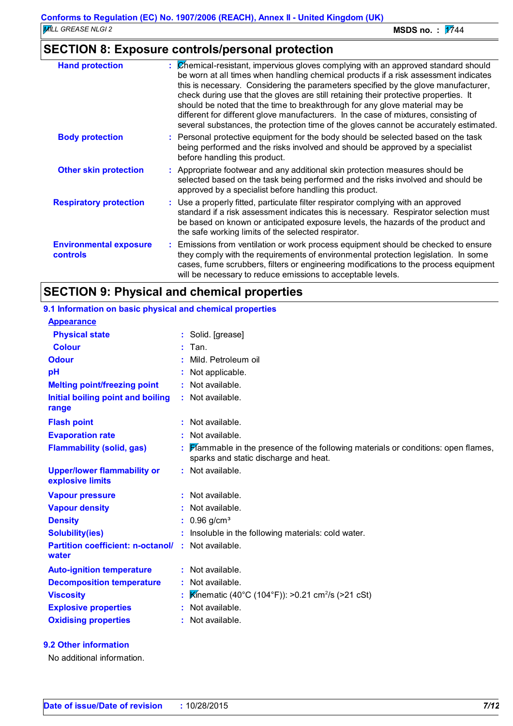### **SECTION 8: Exposure controls/personal protection**

| <b>Hand protection</b>                    | $\mathcal{C}$ Chemical-resistant, impervious gloves complying with an approved standard should<br>be worn at all times when handling chemical products if a risk assessment indicates<br>this is necessary. Considering the parameters specified by the glove manufacturer,<br>check during use that the gloves are still retaining their protective properties. It<br>should be noted that the time to breakthrough for any glove material may be<br>different for different glove manufacturers. In the case of mixtures, consisting of<br>several substances, the protection time of the gloves cannot be accurately estimated. |
|-------------------------------------------|------------------------------------------------------------------------------------------------------------------------------------------------------------------------------------------------------------------------------------------------------------------------------------------------------------------------------------------------------------------------------------------------------------------------------------------------------------------------------------------------------------------------------------------------------------------------------------------------------------------------------------|
| <b>Body protection</b>                    | : Personal protective equipment for the body should be selected based on the task<br>being performed and the risks involved and should be approved by a specialist<br>before handling this product.                                                                                                                                                                                                                                                                                                                                                                                                                                |
| <b>Other skin protection</b>              | : Appropriate footwear and any additional skin protection measures should be<br>selected based on the task being performed and the risks involved and should be<br>approved by a specialist before handling this product.                                                                                                                                                                                                                                                                                                                                                                                                          |
| <b>Respiratory protection</b>             | : Use a properly fitted, particulate filter respirator complying with an approved<br>standard if a risk assessment indicates this is necessary. Respirator selection must<br>be based on known or anticipated exposure levels, the hazards of the product and<br>the safe working limits of the selected respirator.                                                                                                                                                                                                                                                                                                               |
| <b>Environmental exposure</b><br>controls | : Emissions from ventilation or work process equipment should be checked to ensure<br>they comply with the requirements of environmental protection legislation. In some<br>cases, fume scrubbers, filters or engineering modifications to the process equipment<br>will be necessary to reduce emissions to acceptable levels.                                                                                                                                                                                                                                                                                                    |

### **SECTION 9: Physical and chemical properties**

| 9.1 Information on basic physical and chemical properties |                                                                                                                             |
|-----------------------------------------------------------|-----------------------------------------------------------------------------------------------------------------------------|
| <b>Appearance</b>                                         |                                                                                                                             |
| <b>Physical state</b>                                     | : Solid. [grease]                                                                                                           |
| <b>Colour</b>                                             | Tan.                                                                                                                        |
| <b>Odour</b>                                              | Mild. Petroleum oil                                                                                                         |
| pH                                                        | Not applicable.                                                                                                             |
| <b>Melting point/freezing point</b>                       | : Not available.                                                                                                            |
| Initial boiling point and boiling<br>range                | : Not available.                                                                                                            |
| <b>Flash point</b>                                        | $:$ Not available.                                                                                                          |
| <b>Evaporation rate</b>                                   | : Not available.                                                                                                            |
| <b>Flammability (solid, gas)</b>                          | : Flammable in the presence of the following materials or conditions: open flames,<br>sparks and static discharge and heat. |
| <b>Upper/lower flammability or</b><br>explosive limits    | : Not available.                                                                                                            |
| <b>Vapour pressure</b>                                    | : Not available.                                                                                                            |
| <b>Vapour density</b>                                     | Not available.                                                                                                              |
| <b>Density</b>                                            | $: 0.96$ g/cm <sup>3</sup>                                                                                                  |
| <b>Solubility(ies)</b>                                    | Insoluble in the following materials: cold water.                                                                           |
| <b>Partition coefficient: n-octanol/</b><br>water         | $:$ Not available.                                                                                                          |
| <b>Auto-ignition temperature</b>                          | : Not available.                                                                                                            |
| <b>Decomposition temperature</b>                          | : Not available.                                                                                                            |
| <b>Viscosity</b>                                          | <b>K</b> inematic (40°C (104°F)): >0.21 cm <sup>2</sup> /s (>21 cSt)                                                        |
| <b>Explosive properties</b>                               | Not available.                                                                                                              |
| <b>Oxidising properties</b>                               | : Not available.                                                                                                            |

**9.2 Other information**

No additional information.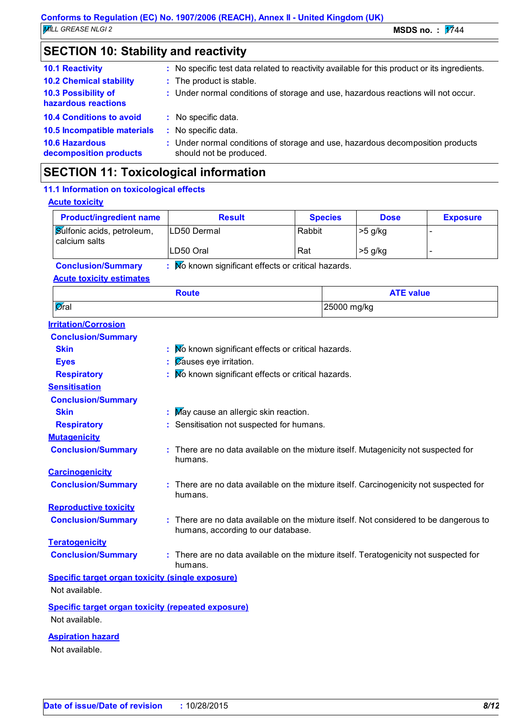### **SECTION 10: Stability and reactivity**

| <b>10.1 Reactivity</b><br><b>10.2 Chemical stability</b> | : No specific test data related to reactivity available for this product or its ingredients.<br>: The product is stable. |
|----------------------------------------------------------|--------------------------------------------------------------------------------------------------------------------------|
| 10.3 Possibility of<br>hazardous reactions               | : Under normal conditions of storage and use, hazardous reactions will not occur.                                        |
| <b>10.4 Conditions to avoid</b>                          | : No specific data.                                                                                                      |
| 10.5 Incompatible materials                              | : No specific data.                                                                                                      |
| <b>10.6 Hazardous</b><br>decomposition products          | : Under normal conditions of storage and use, hazardous decomposition products<br>should not be produced.                |
|                                                          |                                                                                                                          |

### **SECTION 11: Toxicological information**

| <b>Product/ingredient name</b>                                              | <b>Result</b>                                                                                                              |        | <b>Species</b> | <b>Dose</b>      | <b>Exposure</b> |
|-----------------------------------------------------------------------------|----------------------------------------------------------------------------------------------------------------------------|--------|----------------|------------------|-----------------|
| Sulfonic acids, petroleum,                                                  | LD50 Dermal                                                                                                                | Rabbit |                | $>5$ g/kg        | L,              |
| calcium salts                                                               | LD50 Oral                                                                                                                  | Rat    |                | >5 g/kg          |                 |
| <b>Conclusion/Summary</b>                                                   | : No known significant effects or critical hazards.                                                                        |        |                |                  |                 |
| <b>Acute toxicity estimates</b>                                             |                                                                                                                            |        |                |                  |                 |
|                                                                             | <b>Route</b>                                                                                                               |        |                | <b>ATE value</b> |                 |
| Øral                                                                        |                                                                                                                            |        | 25000 mg/kg    |                  |                 |
| <b>Irritation/Corrosion</b>                                                 |                                                                                                                            |        |                |                  |                 |
| <b>Conclusion/Summary</b>                                                   |                                                                                                                            |        |                |                  |                 |
| <b>Skin</b>                                                                 | : No known significant effects or critical hazards.                                                                        |        |                |                  |                 |
| <b>Eyes</b>                                                                 | Causes eye irritation.                                                                                                     |        |                |                  |                 |
| <b>Respiratory</b>                                                          | No known significant effects or critical hazards.                                                                          |        |                |                  |                 |
| <b>Sensitisation</b>                                                        |                                                                                                                            |        |                |                  |                 |
| <b>Conclusion/Summary</b>                                                   |                                                                                                                            |        |                |                  |                 |
| <b>Skin</b>                                                                 | May cause an allergic skin reaction.                                                                                       |        |                |                  |                 |
| <b>Respiratory</b>                                                          | Sensitisation not suspected for humans.                                                                                    |        |                |                  |                 |
| <b>Mutagenicity</b>                                                         |                                                                                                                            |        |                |                  |                 |
| <b>Conclusion/Summary</b>                                                   | : There are no data available on the mixture itself. Mutagenicity not suspected for<br>humans.                             |        |                |                  |                 |
| <b>Carcinogenicity</b>                                                      |                                                                                                                            |        |                |                  |                 |
| <b>Conclusion/Summary</b>                                                   | : There are no data available on the mixture itself. Carcinogenicity not suspected for<br>humans.                          |        |                |                  |                 |
| <b>Reproductive toxicity</b>                                                |                                                                                                                            |        |                |                  |                 |
| <b>Conclusion/Summary</b>                                                   | There are no data available on the mixture itself. Not considered to be dangerous to<br>humans, according to our database. |        |                |                  |                 |
| <b>Teratogenicity</b>                                                       |                                                                                                                            |        |                |                  |                 |
| <b>Conclusion/Summary</b>                                                   | There are no data available on the mixture itself. Teratogenicity not suspected for<br>humans.                             |        |                |                  |                 |
| <b>Specific target organ toxicity (single exposure)</b><br>Not available.   |                                                                                                                            |        |                |                  |                 |
| <b>Specific target organ toxicity (repeated exposure)</b><br>Not available. |                                                                                                                            |        |                |                  |                 |
| <b>Aspiration hazard</b>                                                    |                                                                                                                            |        |                |                  |                 |
| Not available.                                                              |                                                                                                                            |        |                |                  |                 |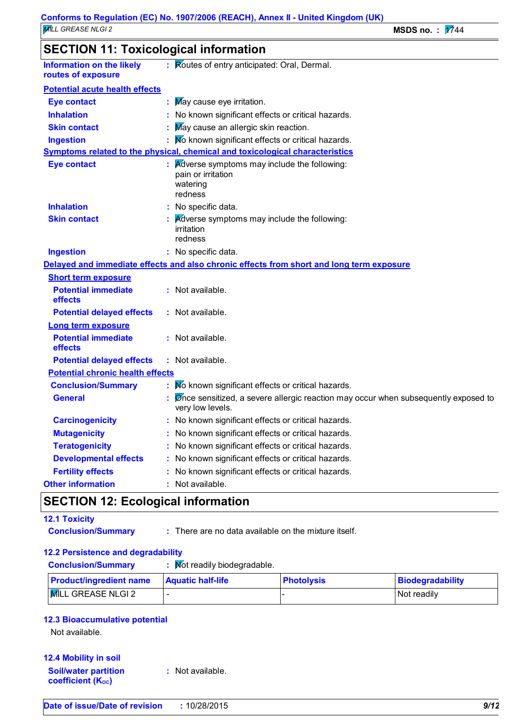### **SECTION 11: Toxicological information**

| <b>Information on the likely</b><br>: Routes of entry anticipated: Oral, Dermal.<br>routes of exposure<br><b>Potential acute health effects</b><br>May cause eye irritation.<br>Eye contact<br><b>Inhalation</b><br>No known significant effects or critical hazards.<br>May cause an allergic skin reaction.<br><b>Skin contact</b><br>No known significant effects or critical hazards.<br><b>Ingestion</b><br>Symptoms related to the physical, chemical and toxicological characteristics<br><b>Eye contact</b><br><b>Adverse symptoms may include the following:</b><br>pain or irritation<br>watering<br>redness<br><b>Inhalation</b><br>: No specific data.<br>Adverse symptoms may include the following:<br><b>Skin contact</b><br>irritation<br>redness<br><b>Ingestion</b><br>: No specific data.<br>Delayed and immediate effects and also chronic effects from short and long term exposure<br><b>Short term exposure</b><br><b>Potential immediate</b><br>: Not available.<br>effects<br><b>Potential delayed effects</b><br>: Not available.<br><b>Long term exposure</b><br><b>Potential immediate</b><br>: Not available.<br>effects<br><b>Potential delayed effects</b><br>: Not available.<br><b>Potential chronic health effects</b><br>No known significant effects or critical hazards.<br><b>Conclusion/Summary</b><br><b>General</b><br>Ønce sensitized, a severe allergic reaction may occur when subsequently exposed to<br>very low levels.<br><b>Carcinogenicity</b><br>: No known significant effects or critical hazards.<br>No known significant effects or critical hazards.<br><b>Mutagenicity</b><br>No known significant effects or critical hazards.<br><b>Teratogenicity</b><br><b>Developmental effects</b><br>No known significant effects or critical hazards.<br><b>Fertility effects</b><br>No known significant effects or critical hazards.<br><b>Other information</b><br>: Not available. | SECTION TT. TOXICOlOGICALITIIOHIMANOH |  |  |  |  |
|-----------------------------------------------------------------------------------------------------------------------------------------------------------------------------------------------------------------------------------------------------------------------------------------------------------------------------------------------------------------------------------------------------------------------------------------------------------------------------------------------------------------------------------------------------------------------------------------------------------------------------------------------------------------------------------------------------------------------------------------------------------------------------------------------------------------------------------------------------------------------------------------------------------------------------------------------------------------------------------------------------------------------------------------------------------------------------------------------------------------------------------------------------------------------------------------------------------------------------------------------------------------------------------------------------------------------------------------------------------------------------------------------------------------------------------------------------------------------------------------------------------------------------------------------------------------------------------------------------------------------------------------------------------------------------------------------------------------------------------------------------------------------------------------------------------------------------------------------------------------------------------------------------------------------------------------|---------------------------------------|--|--|--|--|
|                                                                                                                                                                                                                                                                                                                                                                                                                                                                                                                                                                                                                                                                                                                                                                                                                                                                                                                                                                                                                                                                                                                                                                                                                                                                                                                                                                                                                                                                                                                                                                                                                                                                                                                                                                                                                                                                                                                                         |                                       |  |  |  |  |
|                                                                                                                                                                                                                                                                                                                                                                                                                                                                                                                                                                                                                                                                                                                                                                                                                                                                                                                                                                                                                                                                                                                                                                                                                                                                                                                                                                                                                                                                                                                                                                                                                                                                                                                                                                                                                                                                                                                                         |                                       |  |  |  |  |
|                                                                                                                                                                                                                                                                                                                                                                                                                                                                                                                                                                                                                                                                                                                                                                                                                                                                                                                                                                                                                                                                                                                                                                                                                                                                                                                                                                                                                                                                                                                                                                                                                                                                                                                                                                                                                                                                                                                                         |                                       |  |  |  |  |
|                                                                                                                                                                                                                                                                                                                                                                                                                                                                                                                                                                                                                                                                                                                                                                                                                                                                                                                                                                                                                                                                                                                                                                                                                                                                                                                                                                                                                                                                                                                                                                                                                                                                                                                                                                                                                                                                                                                                         |                                       |  |  |  |  |
|                                                                                                                                                                                                                                                                                                                                                                                                                                                                                                                                                                                                                                                                                                                                                                                                                                                                                                                                                                                                                                                                                                                                                                                                                                                                                                                                                                                                                                                                                                                                                                                                                                                                                                                                                                                                                                                                                                                                         |                                       |  |  |  |  |
|                                                                                                                                                                                                                                                                                                                                                                                                                                                                                                                                                                                                                                                                                                                                                                                                                                                                                                                                                                                                                                                                                                                                                                                                                                                                                                                                                                                                                                                                                                                                                                                                                                                                                                                                                                                                                                                                                                                                         |                                       |  |  |  |  |
|                                                                                                                                                                                                                                                                                                                                                                                                                                                                                                                                                                                                                                                                                                                                                                                                                                                                                                                                                                                                                                                                                                                                                                                                                                                                                                                                                                                                                                                                                                                                                                                                                                                                                                                                                                                                                                                                                                                                         |                                       |  |  |  |  |
|                                                                                                                                                                                                                                                                                                                                                                                                                                                                                                                                                                                                                                                                                                                                                                                                                                                                                                                                                                                                                                                                                                                                                                                                                                                                                                                                                                                                                                                                                                                                                                                                                                                                                                                                                                                                                                                                                                                                         |                                       |  |  |  |  |
|                                                                                                                                                                                                                                                                                                                                                                                                                                                                                                                                                                                                                                                                                                                                                                                                                                                                                                                                                                                                                                                                                                                                                                                                                                                                                                                                                                                                                                                                                                                                                                                                                                                                                                                                                                                                                                                                                                                                         |                                       |  |  |  |  |
|                                                                                                                                                                                                                                                                                                                                                                                                                                                                                                                                                                                                                                                                                                                                                                                                                                                                                                                                                                                                                                                                                                                                                                                                                                                                                                                                                                                                                                                                                                                                                                                                                                                                                                                                                                                                                                                                                                                                         |                                       |  |  |  |  |
|                                                                                                                                                                                                                                                                                                                                                                                                                                                                                                                                                                                                                                                                                                                                                                                                                                                                                                                                                                                                                                                                                                                                                                                                                                                                                                                                                                                                                                                                                                                                                                                                                                                                                                                                                                                                                                                                                                                                         |                                       |  |  |  |  |
|                                                                                                                                                                                                                                                                                                                                                                                                                                                                                                                                                                                                                                                                                                                                                                                                                                                                                                                                                                                                                                                                                                                                                                                                                                                                                                                                                                                                                                                                                                                                                                                                                                                                                                                                                                                                                                                                                                                                         |                                       |  |  |  |  |
|                                                                                                                                                                                                                                                                                                                                                                                                                                                                                                                                                                                                                                                                                                                                                                                                                                                                                                                                                                                                                                                                                                                                                                                                                                                                                                                                                                                                                                                                                                                                                                                                                                                                                                                                                                                                                                                                                                                                         |                                       |  |  |  |  |
|                                                                                                                                                                                                                                                                                                                                                                                                                                                                                                                                                                                                                                                                                                                                                                                                                                                                                                                                                                                                                                                                                                                                                                                                                                                                                                                                                                                                                                                                                                                                                                                                                                                                                                                                                                                                                                                                                                                                         |                                       |  |  |  |  |
|                                                                                                                                                                                                                                                                                                                                                                                                                                                                                                                                                                                                                                                                                                                                                                                                                                                                                                                                                                                                                                                                                                                                                                                                                                                                                                                                                                                                                                                                                                                                                                                                                                                                                                                                                                                                                                                                                                                                         |                                       |  |  |  |  |
|                                                                                                                                                                                                                                                                                                                                                                                                                                                                                                                                                                                                                                                                                                                                                                                                                                                                                                                                                                                                                                                                                                                                                                                                                                                                                                                                                                                                                                                                                                                                                                                                                                                                                                                                                                                                                                                                                                                                         |                                       |  |  |  |  |
|                                                                                                                                                                                                                                                                                                                                                                                                                                                                                                                                                                                                                                                                                                                                                                                                                                                                                                                                                                                                                                                                                                                                                                                                                                                                                                                                                                                                                                                                                                                                                                                                                                                                                                                                                                                                                                                                                                                                         |                                       |  |  |  |  |
|                                                                                                                                                                                                                                                                                                                                                                                                                                                                                                                                                                                                                                                                                                                                                                                                                                                                                                                                                                                                                                                                                                                                                                                                                                                                                                                                                                                                                                                                                                                                                                                                                                                                                                                                                                                                                                                                                                                                         |                                       |  |  |  |  |
|                                                                                                                                                                                                                                                                                                                                                                                                                                                                                                                                                                                                                                                                                                                                                                                                                                                                                                                                                                                                                                                                                                                                                                                                                                                                                                                                                                                                                                                                                                                                                                                                                                                                                                                                                                                                                                                                                                                                         |                                       |  |  |  |  |
|                                                                                                                                                                                                                                                                                                                                                                                                                                                                                                                                                                                                                                                                                                                                                                                                                                                                                                                                                                                                                                                                                                                                                                                                                                                                                                                                                                                                                                                                                                                                                                                                                                                                                                                                                                                                                                                                                                                                         |                                       |  |  |  |  |
|                                                                                                                                                                                                                                                                                                                                                                                                                                                                                                                                                                                                                                                                                                                                                                                                                                                                                                                                                                                                                                                                                                                                                                                                                                                                                                                                                                                                                                                                                                                                                                                                                                                                                                                                                                                                                                                                                                                                         |                                       |  |  |  |  |
|                                                                                                                                                                                                                                                                                                                                                                                                                                                                                                                                                                                                                                                                                                                                                                                                                                                                                                                                                                                                                                                                                                                                                                                                                                                                                                                                                                                                                                                                                                                                                                                                                                                                                                                                                                                                                                                                                                                                         |                                       |  |  |  |  |
|                                                                                                                                                                                                                                                                                                                                                                                                                                                                                                                                                                                                                                                                                                                                                                                                                                                                                                                                                                                                                                                                                                                                                                                                                                                                                                                                                                                                                                                                                                                                                                                                                                                                                                                                                                                                                                                                                                                                         |                                       |  |  |  |  |
|                                                                                                                                                                                                                                                                                                                                                                                                                                                                                                                                                                                                                                                                                                                                                                                                                                                                                                                                                                                                                                                                                                                                                                                                                                                                                                                                                                                                                                                                                                                                                                                                                                                                                                                                                                                                                                                                                                                                         |                                       |  |  |  |  |
|                                                                                                                                                                                                                                                                                                                                                                                                                                                                                                                                                                                                                                                                                                                                                                                                                                                                                                                                                                                                                                                                                                                                                                                                                                                                                                                                                                                                                                                                                                                                                                                                                                                                                                                                                                                                                                                                                                                                         |                                       |  |  |  |  |
|                                                                                                                                                                                                                                                                                                                                                                                                                                                                                                                                                                                                                                                                                                                                                                                                                                                                                                                                                                                                                                                                                                                                                                                                                                                                                                                                                                                                                                                                                                                                                                                                                                                                                                                                                                                                                                                                                                                                         |                                       |  |  |  |  |
|                                                                                                                                                                                                                                                                                                                                                                                                                                                                                                                                                                                                                                                                                                                                                                                                                                                                                                                                                                                                                                                                                                                                                                                                                                                                                                                                                                                                                                                                                                                                                                                                                                                                                                                                                                                                                                                                                                                                         |                                       |  |  |  |  |

### **SECTION 12: Ecological information**

#### **12.1 Toxicity**

- 
- **Conclusion/Summary :** There are no data available on the mixture itself.

#### **12.2 Persistence and degradability**

| <b>Conclusion/Summary</b>      | : Mot readily biodegradable. |                   |  |
|--------------------------------|------------------------------|-------------------|--|
| <b>Product/ingredient name</b> | <b>Aquatic half-life</b>     | <b>Photolysis</b> |  |

### **Product-**MILL GREASE NLGI 2  $\vert$  -  $\vert$  -  $\vert$  -  $\vert$  -  $\vert$  -  $\vert$   $\vert$   $\vert$  Not readily

#### **12.3 Bioaccumulative potential**

Not available.

#### **12.4 Mobility in soil Soil/water partition coefficient (KOC) :** Not available.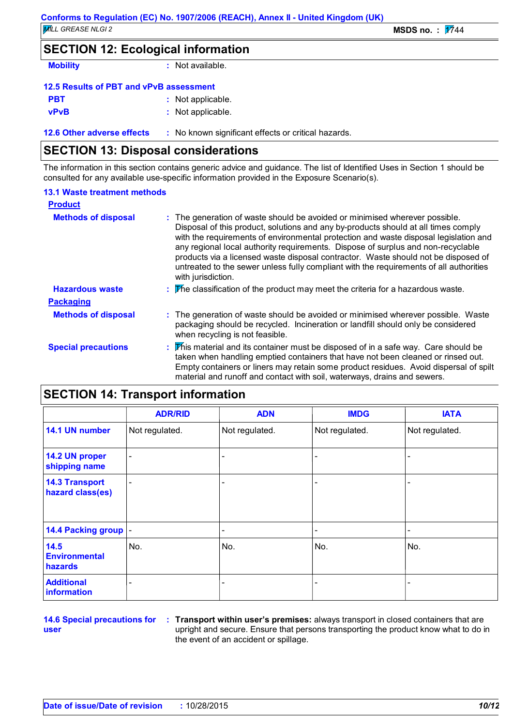### **SECTION 12: Ecological information**

**Mobility :** Not available.

| 12.5 Results of PBT and vPvB assessment |  |                   |  |  |
|-----------------------------------------|--|-------------------|--|--|
| <b>PBT</b>                              |  | : Not applicable. |  |  |
| <b>vPvB</b>                             |  | : Not applicable. |  |  |

**12.6 Other adverse effects** : No known significant effects or critical hazards.

### **SECTION 13: Disposal considerations**

The information in this section contains generic advice and guidance. The list of Identified Uses in Section 1 should be consulted for any available use-specific information provided in the Exposure Scenario(s).

#### **13.1 Waste treatment methods**

| <b>Product</b>             |                                                                                                                                                                                                                                                                                                                                                                                                                                                                                                                                                     |
|----------------------------|-----------------------------------------------------------------------------------------------------------------------------------------------------------------------------------------------------------------------------------------------------------------------------------------------------------------------------------------------------------------------------------------------------------------------------------------------------------------------------------------------------------------------------------------------------|
| <b>Methods of disposal</b> | : The generation of waste should be avoided or minimised wherever possible.<br>Disposal of this product, solutions and any by-products should at all times comply<br>with the requirements of environmental protection and waste disposal legislation and<br>any regional local authority requirements. Dispose of surplus and non-recyclable<br>products via a licensed waste disposal contractor. Waste should not be disposed of<br>untreated to the sewer unless fully compliant with the requirements of all authorities<br>with jurisdiction. |
| <b>Hazardous waste</b>     | $\therefore$ The classification of the product may meet the criteria for a hazardous waste.                                                                                                                                                                                                                                                                                                                                                                                                                                                         |
| <b>Packaging</b>           |                                                                                                                                                                                                                                                                                                                                                                                                                                                                                                                                                     |
| <b>Methods of disposal</b> | : The generation of waste should be avoided or minimised wherever possible. Waste<br>packaging should be recycled. Incineration or landfill should only be considered<br>when recycling is not feasible.                                                                                                                                                                                                                                                                                                                                            |
| <b>Special precautions</b> | : This material and its container must be disposed of in a safe way. Care should be<br>taken when handling emptied containers that have not been cleaned or rinsed out.<br>Empty containers or liners may retain some product residues. Avoid dispersal of spilt<br>material and runoff and contact with soil, waterways, drains and sewers.                                                                                                                                                                                                        |

### **SECTION 14: Transport information**

|                                           | <b>ADR/RID</b>           | <b>ADN</b>               | <b>IMDG</b>    | <b>IATA</b>    |
|-------------------------------------------|--------------------------|--------------------------|----------------|----------------|
| 14.1 UN number                            | Not regulated.           | Not regulated.           | Not regulated. | Not regulated. |
| 14.2 UN proper<br>shipping name           | $\overline{\phantom{a}}$ | ٠                        |                |                |
| <b>14.3 Transport</b><br>hazard class(es) | $\overline{\phantom{a}}$ | ٠                        |                |                |
| 14.4 Packing group  -                     |                          | $\overline{\phantom{a}}$ |                |                |
| 14.5<br><b>Environmental</b><br>hazards   | No.                      | No.                      | No.            | No.            |
| <b>Additional</b><br>information          |                          | ٠                        |                |                |

**14.6 Special precautions for user**

**Transport within user's premises:** always transport in closed containers that are **:** upright and secure. Ensure that persons transporting the product know what to do in the event of an accident or spillage.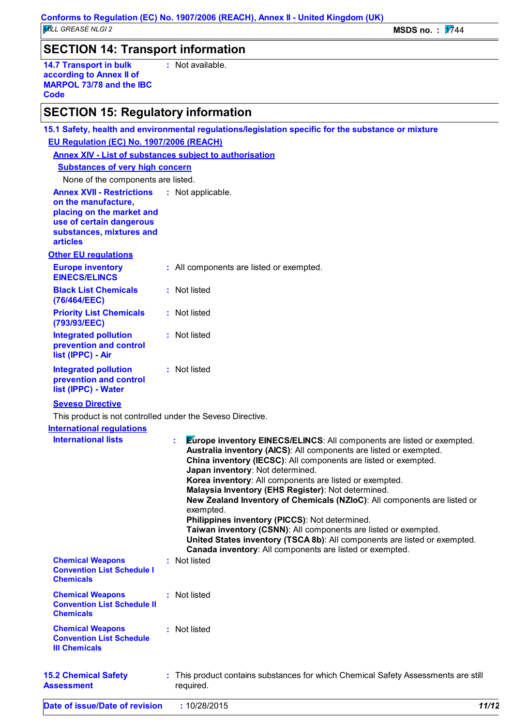### **SECTION 14: Transport information**

**14.7 Transport in bulk according to Annex II of MARPOL 73/78 and the IBC Code :** Not available.

### **SECTION 15: Regulatory information**

| 15.1 Safety, health and environmental regulations/legislation specific for the substance or mixture                                                             |  |                                                                                                                                                                                                                                                                                                                                                                                                                                                                                                                                                                                                                                                                                                                                          |  |  |  |  |
|-----------------------------------------------------------------------------------------------------------------------------------------------------------------|--|------------------------------------------------------------------------------------------------------------------------------------------------------------------------------------------------------------------------------------------------------------------------------------------------------------------------------------------------------------------------------------------------------------------------------------------------------------------------------------------------------------------------------------------------------------------------------------------------------------------------------------------------------------------------------------------------------------------------------------------|--|--|--|--|
| EU Regulation (EC) No. 1907/2006 (REACH)                                                                                                                        |  |                                                                                                                                                                                                                                                                                                                                                                                                                                                                                                                                                                                                                                                                                                                                          |  |  |  |  |
| <b>Annex XIV - List of substances subject to authorisation</b>                                                                                                  |  |                                                                                                                                                                                                                                                                                                                                                                                                                                                                                                                                                                                                                                                                                                                                          |  |  |  |  |
| <b>Substances of very high concern</b>                                                                                                                          |  |                                                                                                                                                                                                                                                                                                                                                                                                                                                                                                                                                                                                                                                                                                                                          |  |  |  |  |
| None of the components are listed.                                                                                                                              |  |                                                                                                                                                                                                                                                                                                                                                                                                                                                                                                                                                                                                                                                                                                                                          |  |  |  |  |
| <b>Annex XVII - Restrictions</b><br>on the manufacture,<br>placing on the market and<br>use of certain dangerous<br>substances, mixtures and<br><b>articles</b> |  | : Not applicable.                                                                                                                                                                                                                                                                                                                                                                                                                                                                                                                                                                                                                                                                                                                        |  |  |  |  |
| <b>Other EU regulations</b>                                                                                                                                     |  |                                                                                                                                                                                                                                                                                                                                                                                                                                                                                                                                                                                                                                                                                                                                          |  |  |  |  |
| <b>Europe inventory</b><br><b>EINECS/ELINCS</b>                                                                                                                 |  | : All components are listed or exempted.                                                                                                                                                                                                                                                                                                                                                                                                                                                                                                                                                                                                                                                                                                 |  |  |  |  |
| <b>Black List Chemicals</b><br>(76/464/EEC)                                                                                                                     |  | : Not listed                                                                                                                                                                                                                                                                                                                                                                                                                                                                                                                                                                                                                                                                                                                             |  |  |  |  |
| <b>Priority List Chemicals</b><br>(793/93/EEC)                                                                                                                  |  | : Not listed                                                                                                                                                                                                                                                                                                                                                                                                                                                                                                                                                                                                                                                                                                                             |  |  |  |  |
| <b>Integrated pollution</b><br>prevention and control<br>list (IPPC) - Air                                                                                      |  | : Not listed                                                                                                                                                                                                                                                                                                                                                                                                                                                                                                                                                                                                                                                                                                                             |  |  |  |  |
| <b>Integrated pollution</b><br>prevention and control<br>list (IPPC) - Water                                                                                    |  | : Not listed                                                                                                                                                                                                                                                                                                                                                                                                                                                                                                                                                                                                                                                                                                                             |  |  |  |  |
| <b>Seveso Directive</b>                                                                                                                                         |  |                                                                                                                                                                                                                                                                                                                                                                                                                                                                                                                                                                                                                                                                                                                                          |  |  |  |  |
| This product is not controlled under the Seveso Directive.                                                                                                      |  |                                                                                                                                                                                                                                                                                                                                                                                                                                                                                                                                                                                                                                                                                                                                          |  |  |  |  |
| <b>International regulations</b>                                                                                                                                |  |                                                                                                                                                                                                                                                                                                                                                                                                                                                                                                                                                                                                                                                                                                                                          |  |  |  |  |
| <b>International lists</b>                                                                                                                                      |  | <b>Europe inventory EINECS/ELINCS:</b> All components are listed or exempted.<br>t.<br>Australia inventory (AICS): All components are listed or exempted.<br>China inventory (IECSC): All components are listed or exempted.<br>Japan inventory: Not determined.<br>Korea inventory: All components are listed or exempted.<br>Malaysia Inventory (EHS Register): Not determined.<br>New Zealand Inventory of Chemicals (NZIoC): All components are listed or<br>exempted.<br>Philippines inventory (PICCS): Not determined.<br>Taiwan inventory (CSNN): All components are listed or exempted.<br>United States inventory (TSCA 8b): All components are listed or exempted.<br>Canada inventory: All components are listed or exempted. |  |  |  |  |
| <b>Chemical Weapons</b><br><b>Convention List Schedule I</b><br><b>Chemicals</b>                                                                                |  | : Not listed                                                                                                                                                                                                                                                                                                                                                                                                                                                                                                                                                                                                                                                                                                                             |  |  |  |  |
| <b>Chemical Weapons</b><br><b>Convention List Schedule II</b><br><b>Chemicals</b>                                                                               |  | : Not listed                                                                                                                                                                                                                                                                                                                                                                                                                                                                                                                                                                                                                                                                                                                             |  |  |  |  |
| <b>Chemical Weapons</b><br><b>Convention List Schedule</b><br><b>III Chemicals</b>                                                                              |  | : Not listed                                                                                                                                                                                                                                                                                                                                                                                                                                                                                                                                                                                                                                                                                                                             |  |  |  |  |
| <b>15.2 Chemical Safety</b><br><b>Assessment</b>                                                                                                                |  | : This product contains substances for which Chemical Safety Assessments are still<br>required.                                                                                                                                                                                                                                                                                                                                                                                                                                                                                                                                                                                                                                          |  |  |  |  |